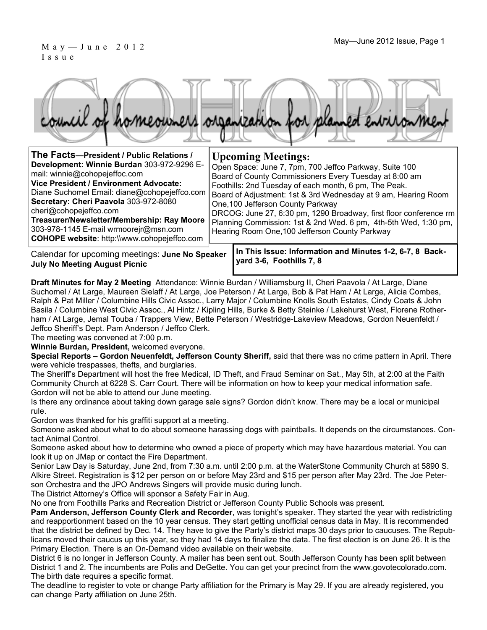#### May—June 2012 Issue, Page 1  $M$  a y  $-$  J u n e  $2012$  Issue, Page 1 Issue



| The Facts-President / Public Relations /                                                                                                                                                                                                                                                                                                                                              | <b>Upcoming Meetings:</b>                                                                                                                                                                                                                                                                                                                                                                                                                                                  |
|---------------------------------------------------------------------------------------------------------------------------------------------------------------------------------------------------------------------------------------------------------------------------------------------------------------------------------------------------------------------------------------|----------------------------------------------------------------------------------------------------------------------------------------------------------------------------------------------------------------------------------------------------------------------------------------------------------------------------------------------------------------------------------------------------------------------------------------------------------------------------|
| Development: Winnie Burdan 303-972-9296 E-<br>mail: winnie@cohopejeffoc.com<br><b>Vice President / Environment Advocate:</b><br>Diane Suchomel Email: diane@cohopejeffco.com<br>Secretary: Cheri Paavola 303-972-8080<br>cheri@cohopejeffco.com<br>Treasurer/Newsletter/Membership: Ray Moore<br>303-978-1145 E-mail wrmoorejr@msn.com<br>COHOPE website: http://www.cohopejeffco.com | Open Space: June 7, 7pm, 700 Jeffco Parkway, Suite 100<br>Board of County Commissioners Every Tuesday at 8:00 am<br>Foothills: 2nd Tuesday of each month, 6 pm, The Peak.<br>Board of Adjustment: 1st & 3rd Wednesday at 9 am, Hearing Room<br>One, 100 Jefferson County Parkway<br>DRCOG: June 27, 6:30 pm, 1290 Broadway, first floor conference rm<br>Planning Commission: 1st & 2nd Wed. 6 pm, 4th-5th Wed, 1:30 pm,<br>Hearing Room One, 100 Jefferson County Parkway |
|                                                                                                                                                                                                                                                                                                                                                                                       |                                                                                                                                                                                                                                                                                                                                                                                                                                                                            |

Calendar for upcoming meetings: **June No Speaker July No Meeting August Picnic** 

**In This Issue: Information and Minutes 1-2, 6-7, 8 Backyard 3-6, Foothills 7, 8** 

**Draft Minutes for May 2 Meeting** Attendance: Winnie Burdan / Williamsburg II, Cheri Paavola / At Large, Diane Suchomel / At Large, Maureen Sielaff / At Large, Joe Peterson / At Large, Bob & Pat Ham / At Large, Alicia Combes, Ralph & Pat Miller / Columbine Hills Civic Assoc., Larry Major / Columbine Knolls South Estates, Cindy Coats & John Basila / Columbine West Civic Assoc., Al Hintz / Kipling Hills, Burke & Betty Steinke / Lakehurst West, Florene Rotherham / At Large, Jemal Touba / Trappers View, Bette Peterson / Westridge-Lakeview Meadows, Gordon Neuenfeldt / Jeffco Sheriff's Dept. Pam Anderson / Jeffco Clerk.

The meeting was convened at 7:00 p.m.

**Winnie Burdan, President,** welcomed everyone.

**Special Reports – Gordon Neuenfeldt, Jefferson County Sheriff,** said that there was no crime pattern in April. There were vehicle trespasses, thefts, and burglaries.

The Sheriff's Department will host the free Medical, ID Theft, and Fraud Seminar on Sat., May 5th, at 2:00 at the Faith Community Church at 6228 S. Carr Court. There will be information on how to keep your medical information safe. Gordon will not be able to attend our June meeting.

Is there any ordinance about taking down garage sale signs? Gordon didn't know. There may be a local or municipal rule.

Gordon was thanked for his graffiti support at a meeting.

Someone asked about what to do about someone harassing dogs with paintballs. It depends on the circumstances. Contact Animal Control.

Someone asked about how to determine who owned a piece of property which may have hazardous material. You can look it up on JMap or contact the Fire Department.

Senior Law Day is Saturday, June 2nd, from 7:30 a.m. until 2:00 p.m. at the WaterStone Community Church at 5890 S. Alkire Street. Registration is \$12 per person on or before May 23rd and \$15 per person after May 23rd. The Joe Peterson Orchestra and the JPO Andrews Singers will provide music during lunch.

The District Attorney's Office will sponsor a Safety Fair in Aug.

No one from Foothills Parks and Recreation District or Jefferson County Public Schools was present.

**Pam Anderson, Jefferson County Clerk and Recorder**, was tonight's speaker. They started the year with redistricting and reapportionment based on the 10 year census. They start getting unofficial census data in May. It is recommended that the district be defined by Dec. 14. They have to give the Party's district maps 30 days prior to caucuses. The Republicans moved their caucus up this year, so they had 14 days to finalize the data. The first election is on June 26. It is the Primary Election. There is an On-Demand video available on their website.

District 6 is no longer in Jefferson County. A mailer has been sent out. South Jefferson County has been split between District 1 and 2. The incumbents are Polis and DeGette. You can get your precinct from the www.govotecolorado.com. The birth date requires a specific format.

The deadline to register to vote or change Party affiliation for the Primary is May 29. If you are already registered, you can change Party affiliation on June 25th.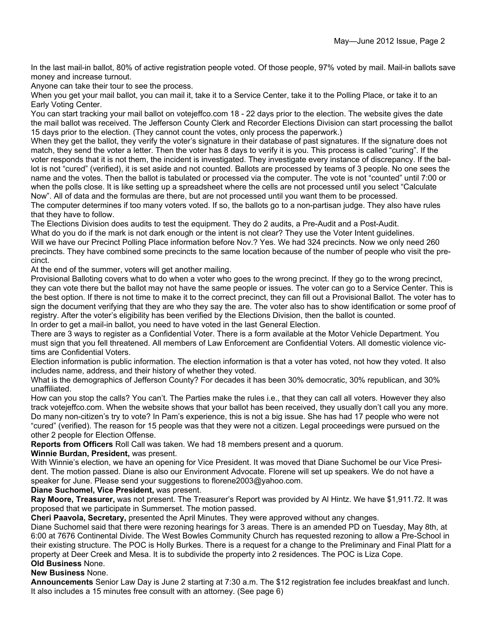In the last mail-in ballot, 80% of active registration people voted. Of those people, 97% voted by mail. Mail-in ballots save money and increase turnout.

Anyone can take their tour to see the process.

When you get your mail ballot, you can mail it, take it to a Service Center, take it to the Polling Place, or take it to an Early Voting Center.

You can start tracking your mail ballot on votejeffco.com 18 - 22 days prior to the election. The website gives the date the mail ballot was received. The Jefferson County Clerk and Recorder Elections Division can start processing the ballot 15 days prior to the election. (They cannot count the votes, only process the paperwork.)

When they get the ballot, they verify the voter's signature in their database of past signatures. If the signature does not match, they send the voter a letter. Then the voter has 8 days to verify it is you. This process is called "curing". If the voter responds that it is not them, the incident is investigated. They investigate every instance of discrepancy. If the ballot is not "cured" (verified), it is set aside and not counted. Ballots are processed by teams of 3 people. No one sees the name and the votes. Then the ballot is tabulated or processed via the computer. The vote is not "counted" until 7:00 or when the polls close. It is like setting up a spreadsheet where the cells are not processed until you select "Calculate Now". All of data and the formulas are there, but are not processed until you want them to be processed.

The computer determines if too many voters voted. If so, the ballots go to a non-partisan judge. They also have rules that they have to follow.

The Elections Division does audits to test the equipment. They do 2 audits, a Pre-Audit and a Post-Audit.

What do you do if the mark is not dark enough or the intent is not clear? They use the Voter Intent guidelines. Will we have our Precinct Polling Place information before Nov.? Yes. We had 324 precincts. Now we only need 260 precincts. They have combined some precincts to the same location because of the number of people who visit the precinct.

At the end of the summer, voters will get another mailing.

Provisional Balloting covers what to do when a voter who goes to the wrong precinct. If they go to the wrong precinct, they can vote there but the ballot may not have the same people or issues. The voter can go to a Service Center. This is the best option. If there is not time to make it to the correct precinct, they can fill out a Provisional Ballot. The voter has to sign the document verifying that they are who they say the are. The voter also has to show identification or some proof of registry. After the voter's eligibility has been verified by the Elections Division, then the ballot is counted. In order to get a mail-in ballot, you need to have voted in the last General Election.

There are 3 ways to register as a Confidential Voter. There is a form available at the Motor Vehicle Department. You must sign that you fell threatened. All members of Law Enforcement are Confidential Voters. All domestic violence victims are Confidential Voters.

Election information is public information. The election information is that a voter has voted, not how they voted. It also includes name, address, and their history of whether they voted.

What is the demographics of Jefferson County? For decades it has been 30% democratic, 30% republican, and 30% unaffiliated.

How can you stop the calls? You can't. The Parties make the rules i.e., that they can call all voters. However they also track votejeffco.com. When the website shows that your ballot has been received, they usually don't call you any more. Do many non-citizen's try to vote? In Pam's experience, this is not a big issue. She has had 17 people who were not "cured" (verified). The reason for 15 people was that they were not a citizen. Legal proceedings were pursued on the other 2 people for Election Offense.

**Reports from Officers** Roll Call was taken. We had 18 members present and a quorum.

**Winnie Burdan, President,** was present.

With Winnie's election, we have an opening for Vice President. It was moved that Diane Suchomel be our Vice President. The motion passed. Diane is also our Environment Advocate. Florene will set up speakers. We do not have a speaker for June. Please send your suggestions to florene2003@yahoo.com.

**Diane Suchomel, Vice President,** was present.

**Ray Moore, Treasurer,** was not present. The Treasurer's Report was provided by Al Hintz. We have \$1,911.72. It was proposed that we participate in Summerset. The motion passed.

**Cheri Paavola, Secretary,** presented the April Minutes. They were approved without any changes.

Diane Suchomel said that there were rezoning hearings for 3 areas. There is an amended PD on Tuesday, May 8th, at 6:00 at 7676 Continental Divide. The West Bowles Community Church has requested rezoning to allow a Pre-School in their existing structure. The POC is Holly Burkes. There is a request for a change to the Preliminary and Final Platt for a property at Deer Creek and Mesa. It is to subdivide the property into 2 residences. The POC is Liza Cope. **Old Business** None.

### **New Business** None.

**Announcements** Senior Law Day is June 2 starting at 7:30 a.m. The \$12 registration fee includes breakfast and lunch. It also includes a 15 minutes free consult with an attorney. (See page 6)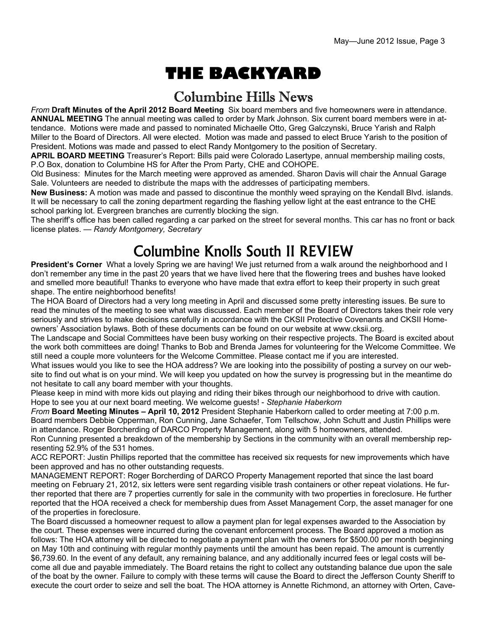# **THE BACKYARD**

### Columbine Hills News

*From* **Draft Minutes of the April 2012 Board Meeting** Six board members and five homeowners were in attendance. **ANNUAL MEETING** The annual meeting was called to order by Mark Johnson. Six current board members were in attendance. Motions were made and passed to nominated Michaelle Otto, Greg Galczynski, Bruce Yarish and Ralph Miller to the Board of Directors. All were elected. Motion was made and passed to elect Bruce Yarish to the position of President. Motions was made and passed to elect Randy Montgomery to the position of Secretary.

**APRIL BOARD MEETING** Treasurer's Report: Bills paid were Colorado Lasertype, annual membership mailing costs, P.O Box, donation to Columbine HS for After the Prom Party, CHE and COHOPE.

Old Business: Minutes for the March meeting were approved as amended. Sharon Davis will chair the Annual Garage Sale. Volunteers are needed to distribute the maps with the addresses of participating members.

**New Business:** A motion was made and passed to discontinue the monthly weed spraying on the Kendall Blvd. islands. It will be necessary to call the zoning department regarding the flashing yellow light at the east entrance to the CHE school parking lot. Evergreen branches are currently blocking the sign.

The sheriff's office has been called regarding a car parked on the street for several months. This car has no front or back license plates. — *Randy Montgomery, Secretary* 

# Columbine Knolls South II REVIEW

**President's Corner** What a lovely Spring we are having! We just returned from a walk around the neighborhood and I don't remember any time in the past 20 years that we have lived here that the flowering trees and bushes have looked and smelled more beautiful! Thanks to everyone who have made that extra effort to keep their property in such great shape. The entire neighborhood benefits!

The HOA Board of Directors had a very long meeting in April and discussed some pretty interesting issues. Be sure to read the minutes of the meeting to see what was discussed. Each member of the Board of Directors takes their role very seriously and strives to make decisions carefully in accordance with the CKSII Protective Covenants and CKSII Homeowners' Association bylaws. Both of these documents can be found on our website at www.cksii.org.

The Landscape and Social Committees have been busy working on their respective projects. The Board is excited about the work both committees are doing! Thanks to Bob and Brenda James for volunteering for the Welcome Committee. We still need a couple more volunteers for the Welcome Committee. Please contact me if you are interested.

What issues would you like to see the HOA address? We are looking into the possibility of posting a survey on our website to find out what is on your mind. We will keep you updated on how the survey is progressing but in the meantime do not hesitate to call any board member with your thoughts.

Please keep in mind with more kids out playing and riding their bikes through our neighborhood to drive with caution. Hope to see you at our next board meeting. We welcome guests! - *Stephanie Haberkorn* 

*From* **Board Meeting Minutes – April 10, 2012** President Stephanie Haberkorn called to order meeting at 7:00 p.m. Board members Debbie Opperman, Ron Cunning, Jane Schaefer, Tom Tellschow, John Schutt and Justin Phillips were in attendance. Roger Borcherding of DARCO Property Management, along with 5 homeowners, attended.

Ron Cunning presented a breakdown of the membership by Sections in the community with an overall membership representing 52.9% of the 531 homes.

ACC REPORT: Justin Phillips reported that the committee has received six requests for new improvements which have been approved and has no other outstanding requests.

MANAGEMENT REPORT: Roger Borcherding of DARCO Property Management reported that since the last board meeting on February 21, 2012, six letters were sent regarding visible trash containers or other repeat violations. He further reported that there are 7 properties currently for sale in the community with two properties in foreclosure. He further reported that the HOA received a check for membership dues from Asset Management Corp, the asset manager for one of the properties in foreclosure.

The Board discussed a homeowner request to allow a payment plan for legal expenses awarded to the Association by the court. These expenses were incurred during the covenant enforcement process. The Board approved a motion as follows: The HOA attorney will be directed to negotiate a payment plan with the owners for \$500.00 per month beginning on May 10th and continuing with regular monthly payments until the amount has been repaid. The amount is currently \$6,739.60. In the event of any default, any remaining balance, and any additionally incurred fees or legal costs will become all due and payable immediately. The Board retains the right to collect any outstanding balance due upon the sale of the boat by the owner. Failure to comply with these terms will cause the Board to direct the Jefferson County Sheriff to execute the court order to seize and sell the boat. The HOA attorney is Annette Richmond, an attorney with Orten, Cave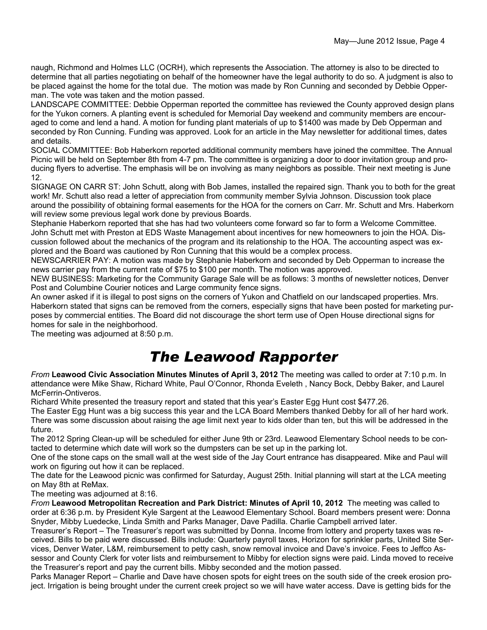naugh, Richmond and Holmes LLC (OCRH), which represents the Association. The attorney is also to be directed to determine that all parties negotiating on behalf of the homeowner have the legal authority to do so. A judgment is also to be placed against the home for the total due. The motion was made by Ron Cunning and seconded by Debbie Opperman. The vote was taken and the motion passed.

LANDSCAPE COMMITTEE: Debbie Opperman reported the committee has reviewed the County approved design plans for the Yukon corners. A planting event is scheduled for Memorial Day weekend and community members are encouraged to come and lend a hand. A motion for funding plant materials of up to \$1400 was made by Deb Opperman and seconded by Ron Cunning. Funding was approved. Look for an article in the May newsletter for additional times, dates and details.

SOCIAL COMMITTEE: Bob Haberkorn reported additional community members have joined the committee. The Annual Picnic will be held on September 8th from 4-7 pm. The committee is organizing a door to door invitation group and producing flyers to advertise. The emphasis will be on involving as many neighbors as possible. Their next meeting is June 12.

SIGNAGE ON CARR ST: John Schutt, along with Bob James, installed the repaired sign. Thank you to both for the great work! Mr. Schutt also read a letter of appreciation from community member Sylvia Johnson. Discussion took place around the possibility of obtaining formal easements for the HOA for the corners on Carr. Mr. Schutt and Mrs. Haberkorn will review some previous legal work done by previous Boards.

Stephanie Haberkorn reported that she has had two volunteers come forward so far to form a Welcome Committee. John Schutt met with Preston at EDS Waste Management about incentives for new homeowners to join the HOA. Discussion followed about the mechanics of the program and its relationship to the HOA. The accounting aspect was explored and the Board was cautioned by Ron Cunning that this would be a complex process.

NEWSCARRIER PAY: A motion was made by Stephanie Haberkorn and seconded by Deb Opperman to increase the news carrier pay from the current rate of \$75 to \$100 per month. The motion was approved.

NEW BUSINESS: Marketing for the Community Garage Sale will be as follows: 3 months of newsletter notices, Denver Post and Columbine Courier notices and Large community fence signs.

An owner asked if it is illegal to post signs on the corners of Yukon and Chatfield on our landscaped properties. Mrs. Haberkorn stated that signs can be removed from the corners, especially signs that have been posted for marketing purposes by commercial entities. The Board did not discourage the short term use of Open House directional signs for homes for sale in the neighborhood.

The meeting was adjourned at 8:50 p.m.

# *The Leawood Rapporter*

*From* **Leawood Civic Association Minutes Minutes of April 3, 2012** The meeting was called to order at 7:10 p.m. In attendance were Mike Shaw, Richard White, Paul O'Connor, Rhonda Eveleth , Nancy Bock, Debby Baker, and Laurel McFerrin-Ontiveros.

Richard White presented the treasury report and stated that this year's Easter Egg Hunt cost \$477.26.

The Easter Egg Hunt was a big success this year and the LCA Board Members thanked Debby for all of her hard work. There was some discussion about raising the age limit next year to kids older than ten, but this will be addressed in the future.

The 2012 Spring Clean-up will be scheduled for either June 9th or 23rd. Leawood Elementary School needs to be contacted to determine which date will work so the dumpsters can be set up in the parking lot.

One of the stone caps on the small wall at the west side of the Jay Court entrance has disappeared. Mike and Paul will work on figuring out how it can be replaced.

The date for the Leawood picnic was confirmed for Saturday, August 25th. Initial planning will start at the LCA meeting on May 8th at ReMax.

The meeting was adjourned at 8:16.

*From* **Leawood Metropolitan Recreation and Park District: Minutes of April 10, 2012** The meeting was called to order at 6:36 p.m. by President Kyle Sargent at the Leawood Elementary School. Board members present were: Donna Snyder, Mibby Luedecke, Linda Smith and Parks Manager, Dave Padilla. Charlie Campbell arrived later.

Treasurer's Report – The Treasurer's report was submitted by Donna. Income from lottery and property taxes was received. Bills to be paid were discussed. Bills include: Quarterly payroll taxes, Horizon for sprinkler parts, United Site Services, Denver Water, L&M, reimbursement to petty cash, snow removal invoice and Dave's invoice. Fees to Jeffco Assessor and County Clerk for voter lists and reimbursement to Mibby for election signs were paid. Linda moved to receive the Treasurer's report and pay the current bills. Mibby seconded and the motion passed.

Parks Manager Report – Charlie and Dave have chosen spots for eight trees on the south side of the creek erosion project. Irrigation is being brought under the current creek project so we will have water access. Dave is getting bids for the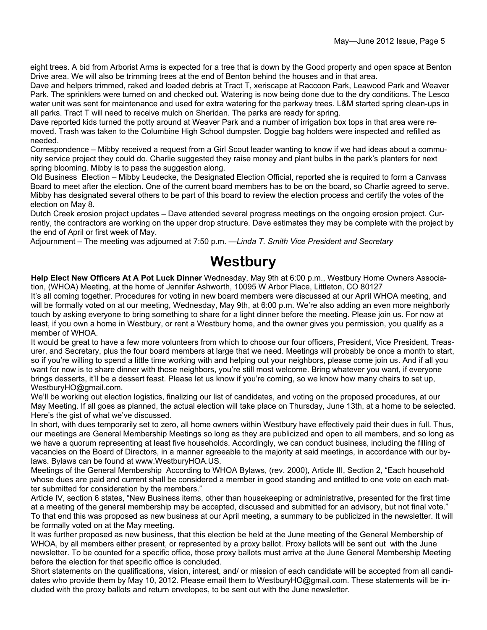eight trees. A bid from Arborist Arms is expected for a tree that is down by the Good property and open space at Benton Drive area. We will also be trimming trees at the end of Benton behind the houses and in that area.

Dave and helpers trimmed, raked and loaded debris at Tract T, xeriscape at Raccoon Park, Leawood Park and Weaver Park. The sprinklers were turned on and checked out. Watering is now being done due to the dry conditions. The Lesco water unit was sent for maintenance and used for extra watering for the parkway trees. L&M started spring clean-ups in all parks. Tract T will need to receive mulch on Sheridan. The parks are ready for spring.

Dave reported kids turned the potty around at Weaver Park and a number of irrigation box tops in that area were removed. Trash was taken to the Columbine High School dumpster. Doggie bag holders were inspected and refilled as needed.

Correspondence – Mibby received a request from a Girl Scout leader wanting to know if we had ideas about a community service project they could do. Charlie suggested they raise money and plant bulbs in the park's planters for next spring blooming. Mibby is to pass the suggestion along.

Old Business Election – Mibby Leudecke, the Designated Election Official, reported she is required to form a Canvass Board to meet after the election. One of the current board members has to be on the board, so Charlie agreed to serve. Mibby has designated several others to be part of this board to review the election process and certify the votes of the election on May 8.

Dutch Creek erosion project updates – Dave attended several progress meetings on the ongoing erosion project. Currently, the contractors are working on the upper drop structure. Dave estimates they may be complete with the project by the end of April or first week of May.

Adjournment – The meeting was adjourned at 7:50 p.m. —*Linda T. Smith Vice President and Secretary* 

### **Westbury**

**Help Elect New Officers At A Pot Luck Dinner** Wednesday, May 9th at 6:00 p.m., Westbury Home Owners Association, (WHOA) Meeting, at the home of Jennifer Ashworth, 10095 W Arbor Place, Littleton, CO 80127

It's all coming together. Procedures for voting in new board members were discussed at our April WHOA meeting, and will be formally voted on at our meeting, Wednesday, May 9th, at 6:00 p.m. We're also adding an even more neighborly touch by asking everyone to bring something to share for a light dinner before the meeting. Please join us. For now at least, if you own a home in Westbury, or rent a Westbury home, and the owner gives you permission, you qualify as a member of WHOA.

It would be great to have a few more volunteers from which to choose our four officers, President, Vice President, Treasurer, and Secretary, plus the four board members at large that we need. Meetings will probably be once a month to start, so if you're willing to spend a little time working with and helping out your neighbors, please come join us. And if all you want for now is to share dinner with those neighbors, you're still most welcome. Bring whatever you want, if everyone brings desserts, it'll be a dessert feast. Please let us know if you're coming, so we know how many chairs to set up, WestburyHO@gmail.com.

We'll be working out election logistics, finalizing our list of candidates, and voting on the proposed procedures, at our May Meeting. If all goes as planned, the actual election will take place on Thursday, June 13th, at a home to be selected. Here's the gist of what we've discussed.

In short, with dues temporarily set to zero, all home owners within Westbury have effectively paid their dues in full. Thus, our meetings are General Membership Meetings so long as they are publicized and open to all members, and so long as we have a quorum representing at least five households. Accordingly, we can conduct business, including the filling of vacancies on the Board of Directors, in a manner agreeable to the majority at said meetings, in accordance with our bylaws. Bylaws can be found at www.WestburyHOA.US.

Meetings of the General Membership According to WHOA Bylaws, (rev. 2000), Article III, Section 2, "Each household whose dues are paid and current shall be considered a member in good standing and entitled to one vote on each matter submitted for consideration by the members."

Article IV, section 6 states, "New Business items, other than housekeeping or administrative, presented for the first time at a meeting of the general membership may be accepted, discussed and submitted for an advisory, but not final vote." To that end this was proposed as new business at our April meeting, a summary to be publicized in the newsletter. It will be formally voted on at the May meeting.

It was further proposed as new business, that this election be held at the June meeting of the General Membership of WHOA, by all members either present, or represented by a proxy ballot. Proxy ballots will be sent out with the June newsletter. To be counted for a specific office, those proxy ballots must arrive at the June General Membership Meeting before the election for that specific office is concluded.

Short statements on the qualifications, vision, interest, and/ or mission of each candidate will be accepted from all candidates who provide them by May 10, 2012. Please email them to WestburyHO@gmail.com. These statements will be included with the proxy ballots and return envelopes, to be sent out with the June newsletter.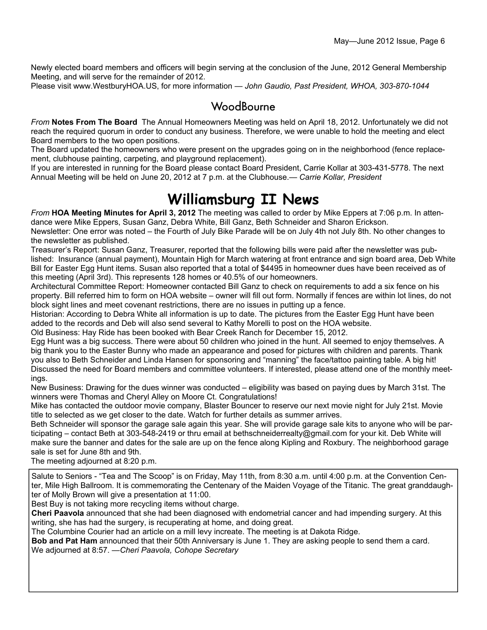Newly elected board members and officers will begin serving at the conclusion of the June, 2012 General Membership Meeting, and will serve for the remainder of 2012.

Please visit www.WestburyHOA.US, for more information — *John Gaudio, Past President, WHOA, 303-870-1044* 

### **WoodBourne**

*From* **Notes From The Board** The Annual Homeowners Meeting was held on April 18, 2012. Unfortunately we did not reach the required quorum in order to conduct any business. Therefore, we were unable to hold the meeting and elect Board members to the two open positions.

The Board updated the homeowners who were present on the upgrades going on in the neighborhood (fence replacement, clubhouse painting, carpeting, and playground replacement).

If you are interested in running for the Board please contact Board President, Carrie Kollar at 303-431-5778. The next Annual Meeting will be held on June 20, 2012 at 7 p.m. at the Clubhouse.*— Carrie Kollar, President*

# **Williamsburg II News**

*From* **HOA Meeting Minutes for April 3, 2012** The meeting was called to order by Mike Eppers at 7:06 p.m. In attendance were Mike Eppers, Susan Ganz, Debra White, Bill Ganz, Beth Schneider and Sharon Erickson.

Newsletter: One error was noted – the Fourth of July Bike Parade will be on July 4th not July 8th. No other changes to the newsletter as published.

Treasurer's Report: Susan Ganz, Treasurer, reported that the following bills were paid after the newsletter was published: Insurance (annual payment), Mountain High for March watering at front entrance and sign board area, Deb White Bill for Easter Egg Hunt items. Susan also reported that a total of \$4495 in homeowner dues have been received as of this meeting (April 3rd). This represents 128 homes or 40.5% of our homeowners.

Architectural Committee Report: Homeowner contacted Bill Ganz to check on requirements to add a six fence on his property. Bill referred him to form on HOA website – owner will fill out form. Normally if fences are within lot lines, do not block sight lines and meet covenant restrictions, there are no issues in putting up a fence.

Historian: According to Debra White all information is up to date. The pictures from the Easter Egg Hunt have been added to the records and Deb will also send several to Kathy Morelli to post on the HOA website.

Old Business: Hay Ride has been booked with Bear Creek Ranch for December 15, 2012.

Egg Hunt was a big success. There were about 50 children who joined in the hunt. All seemed to enjoy themselves. A big thank you to the Easter Bunny who made an appearance and posed for pictures with children and parents. Thank you also to Beth Schneider and Linda Hansen for sponsoring and "manning" the face/tattoo painting table. A big hit! Discussed the need for Board members and committee volunteers. If interested, please attend one of the monthly meetings.

New Business: Drawing for the dues winner was conducted – eligibility was based on paying dues by March 31st. The winners were Thomas and Cheryl Alley on Moore Ct. Congratulations!

Mike has contacted the outdoor movie company, Blaster Bouncer to reserve our next movie night for July 21st. Movie title to selected as we get closer to the date. Watch for further details as summer arrives.

Beth Schneider will sponsor the garage sale again this year. She will provide garage sale kits to anyone who will be participating – contact Beth at 303-548-2419 or thru email at bethschneiderrealty@gmail.com for your kit. Deb White will make sure the banner and dates for the sale are up on the fence along Kipling and Roxbury. The neighborhood garage sale is set for June 8th and 9th.

The meeting adjourned at 8:20 p.m.

Salute to Seniors - "Tea and The Scoop" is on Friday, May 11th, from 8:30 a.m. until 4:00 p.m. at the Convention Center, Mile High Ballroom. It is commemorating the Centenary of the Maiden Voyage of the Titanic. The great granddaughter of Molly Brown will give a presentation at 11:00.

Best Buy is not taking more recycling items without charge.

**Cheri Paavola** announced that she had been diagnosed with endometrial cancer and had impending surgery. At this writing, she has had the surgery, is recuperating at home, and doing great.

The Columbine Courier had an article on a mill levy increate. The meeting is at Dakota Ridge.

**Bob and Pat Ham** announced that their 50th Anniversary is June 1. They are asking people to send them a card. We adjourned at 8:57. —*Cheri Paavola, Cohope Secretary*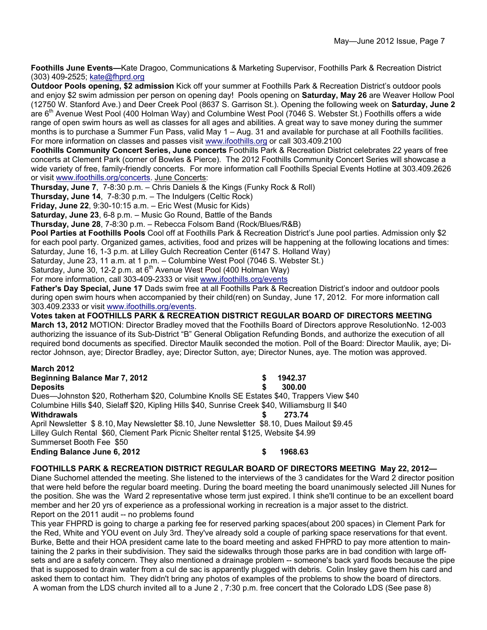**Foothills June Events—**Kate Dragoo, Communications & Marketing Supervisor, Foothills Park & Recreation District (303) 409-2525; kate@fhprd.org

**Outdoor Pools opening, \$2 admission** Kick off your summer at Foothills Park & Recreation District's outdoor pools and enjoy \$2 swim admission per person on opening day! Pools opening on **Saturday, May 26** are Weaver Hollow Pool (12750 W. Stanford Ave.) and Deer Creek Pool (8637 S. Garrison St.). Opening the following week on **Saturday, June 2** are 6<sup>th</sup> Avenue West Pool (400 Holman Way) and Columbine West Pool (7046 S. Webster St.) Foothills offers a wide range of open swim hours as well as classes for all ages and abilities. A great way to save money during the summer months is to purchase a Summer Fun Pass, valid May 1 – Aug. 31 and available for purchase at all Foothills facilities. For more information on classes and passes visit www.ifoothills.org or call 303.409.2100

**Foothills Community Concert Series, June concerts** Foothills Park & Recreation District celebrates 22 years of free concerts at Clement Park (corner of Bowles & Pierce). The 2012 Foothills Community Concert Series will showcase a wide variety of free, family-friendly concerts. For more information call Foothills Special Events Hotline at 303.409.2626 or visit www.ifoothills.org/concerts. June Concerts:

**Thursday, June 7**, 7-8:30 p.m. – Chris Daniels & the Kings (Funky Rock & Roll)

**Thursday, June 14**, 7-8:30 p.m. – The Indulgers (Celtic Rock)

**Friday, June 22**, 9:30-10:15 a.m. – Eric West (Music for Kids)

**Saturday, June 23**, 6-8 p.m. – Music Go Round, Battle of the Bands

**Thursday, June 28**, 7-8:30 p.m. – Rebecca Folsom Band (Rock/Blues/R&B)

**Pool Parties at Foothills Pools** Cool off at Foothills Park & Recreation District's June pool parties. Admission only \$2 for each pool party. Organized games, activities, food and prizes will be happening at the following locations and times: Saturday, June 16, 1-3 p.m. at Lilley Gulch Recreation Center (6147 S. Holland Way)

Saturday, June 23, 11 a.m. at 1 p.m. – Columbine West Pool (7046 S. Webster St.)

Saturday, June 30, 12-2 p.m. at  $6<sup>th</sup>$  Avenue West Pool (400 Holman Way)

For more information, call 303-409-2333 or visit www.ifoothills.org/events

**Father's Day Special, June 17** Dads swim free at all Foothills Park & Recreation District's indoor and outdoor pools during open swim hours when accompanied by their child(ren) on Sunday, June 17, 2012. For more information call 303.409.2333 or visit www.ifoothills.org/events.

**Votes taken at FOOTHILLS PARK & RECREATION DISTRICT REGULAR BOARD OF DIRECTORS MEETING March 13, 2012** MOTION: Director Bradley moved that the Foothills Board of Directors approve ResolutionNo. 12-003 authorizing the issuance of its Sub-District "B" General Obligation Refunding Bonds, and authorize the execution of all required bond documents as specified. Director Maulik seconded the motion. Poll of the Board: Director Maulik, aye; Director Johnson, aye; Director Bradley, aye; Director Sutton, aye; Director Nunes, aye. The motion was approved.

#### **March 2012 Beginning Balance Mar 7, 2012 \$ 1942.37**

**Deposits \$ 300.00**  Dues—Johnston \$20, Rotherham \$20, Columbine Knolls SE Estates \$40, Trappers View \$40 Columbine Hills \$40, Sielaff \$20, Kipling Hills \$40, Sunrise Creek \$40, Williamsburg II \$40 **Withdrawals \$ 273.74**  April Newsletter \$ 8.10, May Newsletter \$8.10, June Newsletter \$8.10, Dues Mailout \$9.45 Lilley Gulch Rental \$60, Clement Park Picnic Shelter rental \$125, Website \$4.99 Summerset Booth Fee \$50

**Ending Balance June 6, 2012 \$ 1968.63** 

#### **FOOTHILLS PARK & RECREATION DISTRICT REGULAR BOARD OF DIRECTORS MEETING May 22, 2012—**

Diane Suchomel attended the meeting. She listened to the interviews of the 3 candidates for the Ward 2 director position that were held before the regular board meeting. During the board meeting the board unanimously selected Jill Nunes for the position. She was the Ward 2 representative whose term just expired. I think she'll continue to be an excellent board member and her 20 yrs of experience as a professional working in recreation is a major asset to the district. Report on the 2011 audit -- no problems found

This year FHPRD is going to charge a parking fee for reserved parking spaces(about 200 spaces) in Clement Park for the Red, White and YOU event on July 3rd. They've already sold a couple of parking space reservations for that event. Burke, Bette and their HOA president came late to the board meeting and asked FHPRD to pay more attention to maintaining the 2 parks in their subdivision. They said the sidewalks through those parks are in bad condition with large offsets and are a safety concern. They also mentioned a drainage problem -- someone's back yard floods because the pipe that is supposed to drain water from a cul de sac is apparently plugged with debris. Colin Insley gave them his card and asked them to contact him. They didn't bring any photos of examples of the problems to show the board of directors. A woman from the LDS church invited all to a June 2 , 7:30 p.m. free concert that the Colorado LDS (See pase 8)